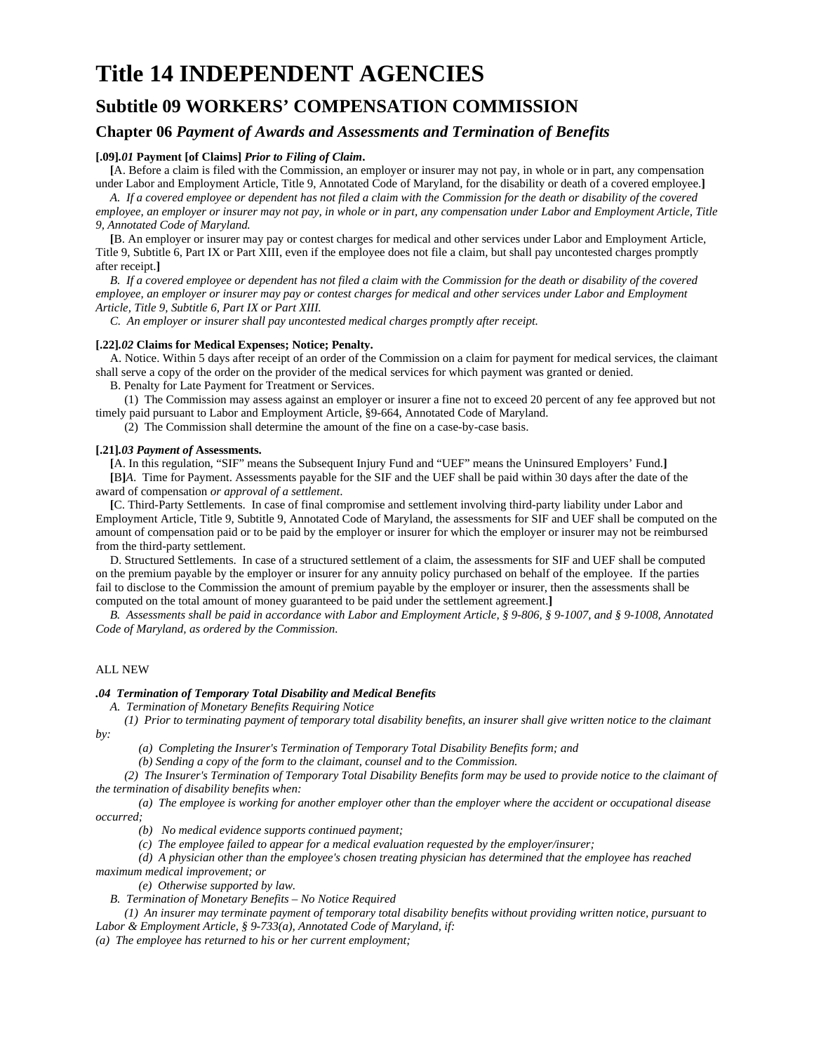# **Title 14 INDEPENDENT AGENCIES**

## **Subtitle 09 WORKERS' COMPENSATION COMMISSION**

### **Chapter 06** *Payment of Awards and Assessments and Termination of Benefits*

#### **[.09]***.01* **Payment [of Claims]** *Prior to Filing of Claim***.**

**[**A. Before a claim is filed with the Commission, an employer or insurer may not pay, in whole or in part, any compensation under Labor and Employment Article, Title 9, Annotated Code of Maryland, for the disability or death of a covered employee.**]**

*A. If a covered employee or dependent has not filed a claim with the Commission for the death or disability of the covered employee, an employer or insurer may not pay, in whole or in part, any compensation under Labor and Employment Article, Title 9, Annotated Code of Maryland.* 

**[**B. An employer or insurer may pay or contest charges for medical and other services under Labor and Employment Article, Title 9, Subtitle 6, Part IX or Part XIII, even if the employee does not file a claim, but shall pay uncontested charges promptly after receipt.**]**

*B. If a covered employee or dependent has not filed a claim with the Commission for the death or disability of the covered employee, an employer or insurer may pay or contest charges for medical and other services under Labor and Employment Article, Title 9, Subtitle 6, Part IX or Part XIII.* 

*C. An employer or insurer shall pay uncontested medical charges promptly after receipt.* 

#### **[.22]***.02* **Claims for Medical Expenses; Notice; Penalty.**

A. Notice. Within 5 days after receipt of an order of the Commission on a claim for payment for medical services, the claimant shall serve a copy of the order on the provider of the medical services for which payment was granted or denied.

B. Penalty for Late Payment for Treatment or Services.

(1) The Commission may assess against an employer or insurer a fine not to exceed 20 percent of any fee approved but not timely paid pursuant to Labor and Employment Article, §9-664, Annotated Code of Maryland.

(2) The Commission shall determine the amount of the fine on a case-by-case basis.

#### **[.21]***.03 Payment of* **Assessments.**

**[**A. In this regulation, "SIF" means the Subsequent Injury Fund and "UEF" means the Uninsured Employers' Fund.**] [**B**]***A*. Time for Payment. Assessments payable for the SIF and the UEF shall be paid within 30 days after the date of the award of compensation *or approval of a settlement*.

**[**C. Third-Party Settlements. In case of final compromise and settlement involving third-party liability under Labor and Employment Article, Title 9, Subtitle 9, Annotated Code of Maryland, the assessments for SIF and UEF shall be computed on the amount of compensation paid or to be paid by the employer or insurer for which the employer or insurer may not be reimbursed from the third-party settlement.

D. Structured Settlements. In case of a structured settlement of a claim, the assessments for SIF and UEF shall be computed on the premium payable by the employer or insurer for any annuity policy purchased on behalf of the employee. If the parties fail to disclose to the Commission the amount of premium payable by the employer or insurer, then the assessments shall be computed on the total amount of money guaranteed to be paid under the settlement agreement.**]**

*B. Assessments shall be paid in accordance with Labor and Employment Article, § 9-806, § 9-1007, and § 9-1008, Annotated Code of Maryland, as ordered by the Commission.* 

#### ALL NEW

#### *.04 Termination of Temporary Total Disability and Medical Benefits*

*A. Termination of Monetary Benefits Requiring Notice* 

*(1) Prior to terminating payment of temporary total disability benefits, an insurer shall give written notice to the claimant*   $b$ *y*:

*(a) Completing the Insurer's Termination of Temporary Total Disability Benefits form; and* 

*(b) Sending a copy of the form to the claimant, counsel and to the Commission.* 

*(2) The Insurer's Termination of Temporary Total Disability Benefits form may be used to provide notice to the claimant of the termination of disability benefits when:* 

*(a) The employee is working for another employer other than the employer where the accident or occupational disease occurred;* 

*(b) No medical evidence supports continued payment;* 

*(c) The employee failed to appear for a medical evaluation requested by the employer/insurer;* 

*(d) A physician other than the employee's chosen treating physician has determined that the employee has reached maximum medical improvement; or* 

*(e) Otherwise supported by law.* 

*B. Termination of Monetary Benefits – No Notice Required* 

*(1) An insurer may terminate payment of temporary total disability benefits without providing written notice, pursuant to Labor & Employment Article, § 9-733(a), Annotated Code of Maryland, if:* 

*(a) The employee has returned to his or her current employment;*